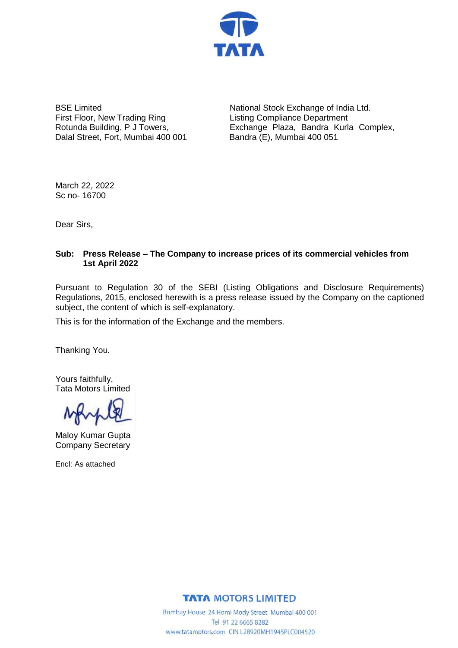

BSE Limited First Floor, New Trading Ring Rotunda Building, P J Towers, Dalal Street, Fort, Mumbai 400 001

National Stock Exchange of India Ltd. Listing Compliance Department Exchange Plaza, Bandra Kurla Complex, Bandra (E), Mumbai 400 051

March 22, 2022 Sc no- 16700

Dear Sirs,

### **Sub: Press Release – The Company to increase prices of its commercial vehicles from 1st April 2022**

Pursuant to Regulation 30 of the SEBI (Listing Obligations and Disclosure Requirements) Regulations, 2015, enclosed herewith is a press release issued by the Company on the captioned subject, the content of which is self-explanatory.

This is for the information of the Exchange and the members.

Thanking You.

Yours faithfully, Tata Motors Limited

Maloy Kumar Gupta Company Secretary

Encl: As attached

**TATA MOTORS LIMITED** 

Bombay House 24 Homi Mody Street Mumbai 400 001 Tel 91 22 6665 8282 www.tatamotors.com CIN L28920MH1945PLC004520